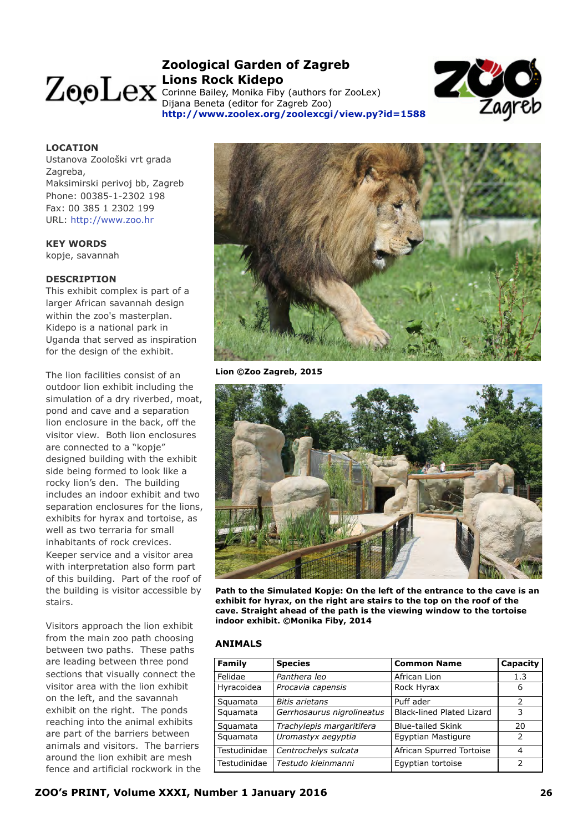# **Zoological Garden of Zagreb Lions Rock Kidepo**

Corinne Bailey, Monika Fiby (authors for ZooLex) Dijana Beneta (editor for Zagreb Zoo) **<http://www.zoolex.org/zoolexcgi/view.py?id=1588>**



# **LOCATION**

Ustanova Zoološki vrt grada Zagreba, Maksimirski perivoj bb, Zagreb Phone: 00385-1-2302 198 Fax: 00 385 1 2302 199 URL: [http://www.zoo.hr](http://www.zoolex.org/zoolexcgi/linkjump.py?link=http://www.zoo.hr&name=Zoological%20Garden%20of%20Zagreb)

# **KEY WORDS**

kopje, savannah

# **DESCRIPTION**

This exhibit complex is part of a larger African savannah design within the zoo's masterplan. Kidepo is a national park in Uganda that served as inspiration for the design of the exhibit.

The lion facilities consist of an outdoor lion exhibit including the simulation of a dry riverbed, moat, pond and cave and a separation lion enclosure in the back, off the visitor view. Both lion enclosures are connected to a "kopje" designed building with the exhibit side being formed to look like a rocky lion's den. The building includes an indoor exhibit and two separation enclosures for the lions, exhibits for hyrax and tortoise, as well as two terraria for small inhabitants of rock crevices. Keeper service and a visitor area with interpretation also form part of this building. Part of the roof of the building is visitor accessible by stairs.

Visitors approach the lion exhibit from the main zoo path choosing between two paths. These paths are leading between three pond sections that visually connect the visitor area with the lion exhibit on the left, and the savannah exhibit on the right. The ponds reaching into the animal exhibits are part of the barriers between animals and visitors. The barriers around the lion exhibit are mesh fence and artificial rockwork in the



**Lion ©Zoo Zagreb, 2015**



**Path to the Simulated Kopje: On the left of the entrance to the cave is an exhibit for hyrax, on the right are stairs to the top on the roof of the cave. Straight ahead of the path is the viewing window to the tortoise indoor exhibit. ©Monika Fiby, 2014**

# **ANIMALS**

| <b>Family</b> | <b>Species</b><br><b>Common Name</b> |                                  | Capacity      |
|---------------|--------------------------------------|----------------------------------|---------------|
| Felidae       | Panthera leo                         | African Lion                     | 1.3           |
| Hyracoidea    | Procavia capensis                    | Rock Hyrax                       | 6             |
| Squamata      | <b>Bitis arietans</b>                | Puff ader                        | 2             |
| Squamata      | Gerrhosaurus nigrolineatus           | <b>Black-lined Plated Lizard</b> | 3             |
| Squamata      | Trachylepis margaritifera            | <b>Blue-tailed Skink</b>         | 20            |
| Squamata      | Uromastyx aegyptia                   | Egyptian Mastigure               | $\mathcal{P}$ |
| Testudinidae  | Centrochelys sulcata                 | African Spurred Tortoise         | 4             |
| Testudinidae  | Testudo kleinmanni                   | Egyptian tortoise                | $\mathcal{P}$ |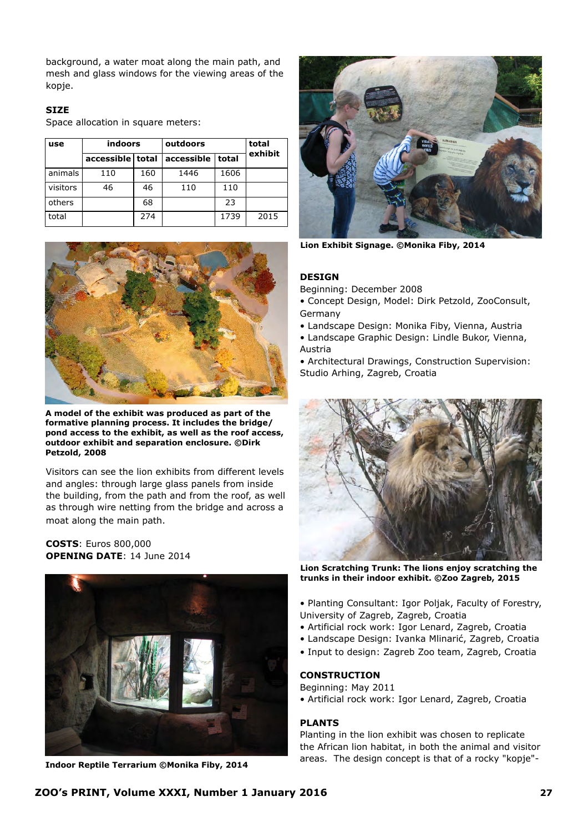background, a water moat along the main path, and mesh and glass windows for the viewing areas of the kopje.

# **SIZE**

Space allocation in square meters:

| use      | indoors          |     | outdoors   |       | total<br>exhibit |
|----------|------------------|-----|------------|-------|------------------|
|          | accessible total |     | accessible | total |                  |
| animals  | 110              | 160 | 1446       | 1606  |                  |
| visitors | 46               | 46  | 110        | 110   |                  |
| others   |                  | 68  |            | 23    |                  |
| total    |                  | 274 |            | 1739  | 2015             |



**A model of the exhibit was produced as part of the formative planning process. It includes the bridge/ pond access to the exhibit, as well as the roof access, outdoor exhibit and separation enclosure. ©Dirk Petzold, 2008**

Visitors can see the lion exhibits from different levels and angles: through large glass panels from inside the building, from the path and from the roof, as well as through wire netting from the bridge and across a moat along the main path.

# **COSTS**: Euros 800,000 **OPENING DATE**: 14 June 2014



**Indoor Reptile Terrarium ©Monika Fiby, 2014**



**Lion Exhibit Signage. ©Monika Fiby, 2014**

#### **DESIGN**

Beginning: December 2008

- Concept Design, Model: Dirk Petzold, ZooConsult, Germany
- Landscape Design: Monika Fiby, Vienna, Austria
- Landscape Graphic Design: Lindle Bukor, Vienna, Austria
- Architectural Drawings, Construction Supervision: Studio Arhing, Zagreb, Croatia



**Lion Scratching Trunk: The lions enjoy scratching the trunks in their indoor exhibit. ©Zoo Zagreb, 2015**

- Planting Consultant: Igor Poljak, Faculty of Forestry, University of Zagreb, Zagreb, Croatia
- Artificial rock work: Igor Lenard, Zagreb, Croatia
- Landscape Design: Ivanka Mlinarić, Zagreb, Croatia
- Input to design: Zagreb Zoo team, Zagreb, Croatia

#### **CONSTRUCTION**

Beginning: May 2011

• Artificial rock work: Igor Lenard, Zagreb, Croatia

#### **PLANTS**

Planting in the lion exhibit was chosen to replicate the African lion habitat, in both the animal and visitor areas. The design concept is that of a rocky "kopje"-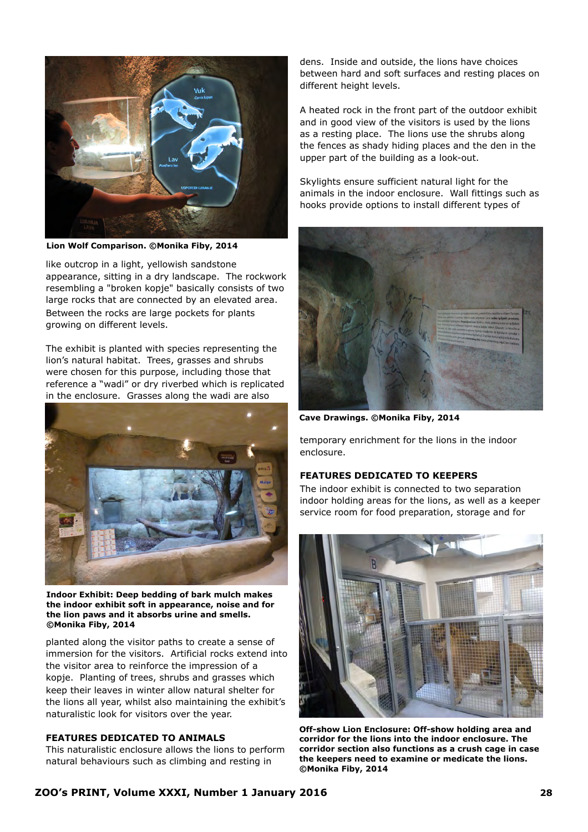

**Lion Wolf Comparison. ©Monika Fiby, 2014**

like outcrop in a light, yellowish sandstone appearance, sitting in a dry landscape. The rockwork resembling a "broken kopje" basically consists of two large rocks that are connected by an elevated area. Between the rocks are large pockets for plants growing on different levels.

The exhibit is planted with species representing the lion's natural habitat. Trees, grasses and shrubs were chosen for this purpose, including those that reference a "wadi" or dry riverbed which is replicated in the enclosure. Grasses along the wadi are also



**Indoor Exhibit: Deep bedding of bark mulch makes the indoor exhibit soft in appearance, noise and for the lion paws and it absorbs urine and smells. ©Monika Fiby, 2014**

planted along the visitor paths to create a sense of immersion for the visitors. Artificial rocks extend into the visitor area to reinforce the impression of a kopje. Planting of trees, shrubs and grasses which keep their leaves in winter allow natural shelter for the lions all year, whilst also maintaining the exhibit's naturalistic look for visitors over the year.

# **FEATURES DEDICATED TO ANIMALS**

This naturalistic enclosure allows the lions to perform natural behaviours such as climbing and resting in

dens. Inside and outside, the lions have choices between hard and soft surfaces and resting places on different height levels.

A heated rock in the front part of the outdoor exhibit and in good view of the visitors is used by the lions as a resting place. The lions use the shrubs along the fences as shady hiding places and the den in the upper part of the building as a look-out.

Skylights ensure sufficient natural light for the animals in the indoor enclosure. Wall fittings such as hooks provide options to install different types of



**Cave Drawings. ©Monika Fiby, 2014**

temporary enrichment for the lions in the indoor enclosure.

# **FEATURES DEDICATED TO KEEPERS**

The indoor exhibit is connected to two separation indoor holding areas for the lions, as well as a keeper service room for food preparation, storage and for



**Off-show Lion Enclosure: Off-show holding area and corridor for the lions into the indoor enclosure. The corridor section also functions as a crush cage in case the keepers need to examine or medicate the lions. ©Monika Fiby, 2014**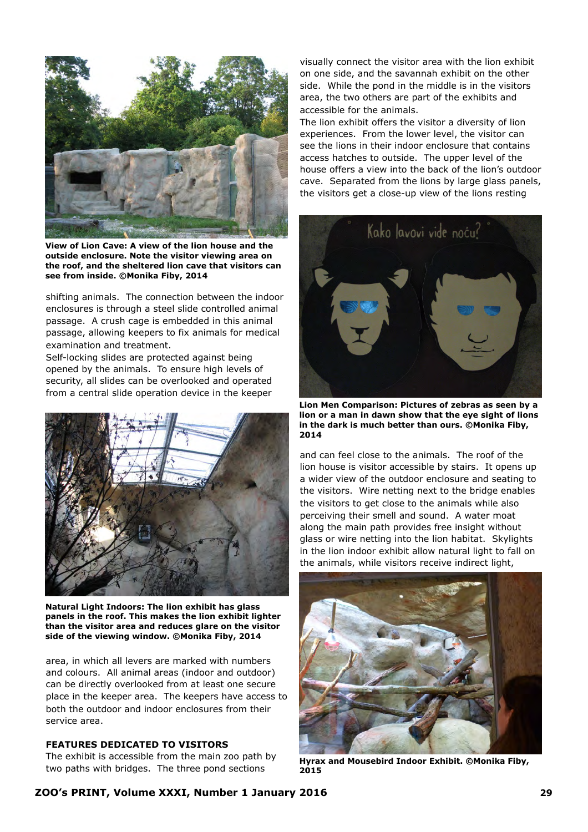

**View of Lion Cave: A view of the lion house and the outside enclosure. Note the visitor viewing area on the roof, and the sheltered lion cave that visitors can see from inside. ©Monika Fiby, 2014**

shifting animals. The connection between the indoor enclosures is through a steel slide controlled animal passage. A crush cage is embedded in this animal passage, allowing keepers to fix animals for medical examination and treatment.

Self-locking slides are protected against being opened by the animals. To ensure high levels of security, all slides can be overlooked and operated from a central slide operation device in the keeper



**Natural Light Indoors: The lion exhibit has glass panels in the roof. This makes the lion exhibit lighter than the visitor area and reduces glare on the visitor side of the viewing window. ©Monika Fiby, 2014**

area, in which all levers are marked with numbers and colours. All animal areas (indoor and outdoor) can be directly overlooked from at least one secure place in the keeper area. The keepers have access to both the outdoor and indoor enclosures from their service area.

# **FEATURES DEDICATED TO VISITORS**

The exhibit is accessible from the main zoo path by two paths with bridges. The three pond sections

visually connect the visitor area with the lion exhibit on one side, and the savannah exhibit on the other side. While the pond in the middle is in the visitors area, the two others are part of the exhibits and accessible for the animals.

The lion exhibit offers the visitor a diversity of lion experiences. From the lower level, the visitor can see the lions in their indoor enclosure that contains access hatches to outside. The upper level of the house offers a view into the back of the lion's outdoor cave. Separated from the lions by large glass panels, the visitors get a close-up view of the lions resting



**Lion Men Comparison: Pictures of zebras as seen by a lion or a man in dawn show that the eye sight of lions in the dark is much better than ours. ©Monika Fiby, 2014**

and can feel close to the animals. The roof of the lion house is visitor accessible by stairs. It opens up a wider view of the outdoor enclosure and seating to the visitors. Wire netting next to the bridge enables the visitors to get close to the animals while also perceiving their smell and sound. A water moat along the main path provides free insight without glass or wire netting into the lion habitat. Skylights in the lion indoor exhibit allow natural light to fall on the animals, while visitors receive indirect light,



**Hyrax and Mousebird Indoor Exhibit. ©Monika Fiby, 2015**